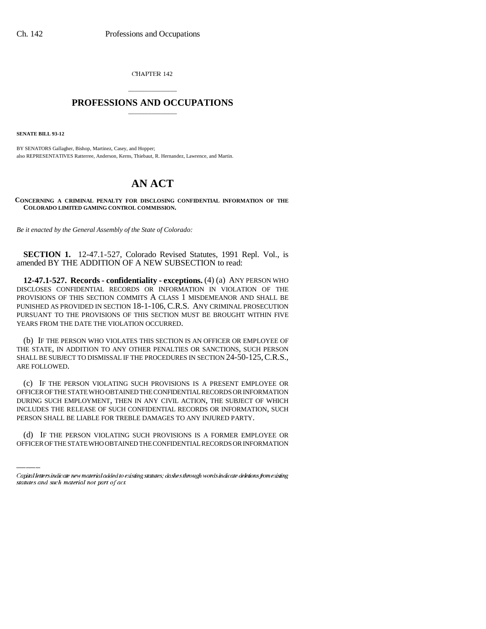CHAPTER 142

## \_\_\_\_\_\_\_\_\_\_\_\_\_\_\_ **PROFESSIONS AND OCCUPATIONS** \_\_\_\_\_\_\_\_\_\_\_\_\_\_\_

**SENATE BILL 93-12**

BY SENATORS Gallagher, Bishop, Martinez, Casey, and Hopper; also REPRESENTATIVES Ratterree, Anderson, Kerns, Thiebaut, R. Hernandez, Lawrence, and Martin.

## **AN ACT**

**CONCERNING A CRIMINAL PENALTY FOR DISCLOSING CONFIDENTIAL INFORMATION OF THE COLORADO LIMITED GAMING CONTROL COMMISSION.**

*Be it enacted by the General Assembly of the State of Colorado:*

**SECTION 1.** 12-47.1-527, Colorado Revised Statutes, 1991 Repl. Vol., is amended BY THE ADDITION OF A NEW SUBSECTION to read:

**12-47.1-527. Records - confidentiality - exceptions.** (4) (a) ANY PERSON WHO DISCLOSES CONFIDENTIAL RECORDS OR INFORMATION IN VIOLATION OF THE PROVISIONS OF THIS SECTION COMMITS A CLASS 1 MISDEMEANOR AND SHALL BE PUNISHED AS PROVIDED IN SECTION 18-1-106, C.R.S. ANY CRIMINAL PROSECUTION PURSUANT TO THE PROVISIONS OF THIS SECTION MUST BE BROUGHT WITHIN FIVE YEARS FROM THE DATE THE VIOLATION OCCURRED.

(b) IF THE PERSON WHO VIOLATES THIS SECTION IS AN OFFICER OR EMPLOYEE OF THE STATE, IN ADDITION TO ANY OTHER PENALTIES OR SANCTIONS, SUCH PERSON SHALL BE SUBJECT TO DISMISSAL IF THE PROCEDURES IN SECTION 24-50-125,C.R.S., ARE FOLLOWED.

INCLUDES THE RELEASE OF SUCH CONFIDENTIAL RECORDS OR INFORMATION, SUCH (c) IF THE PERSON VIOLATING SUCH PROVISIONS IS A PRESENT EMPLOYEE OR OFFICER OF THE STATE WHO OBTAINED THE CONFIDENTIAL RECORDS OR INFORMATION DURING SUCH EMPLOYMENT, THEN IN ANY CIVIL ACTION, THE SUBJECT OF WHICH PERSON SHALL BE LIABLE FOR TREBLE DAMAGES TO ANY INJURED PARTY.

(d) IF THE PERSON VIOLATING SUCH PROVISIONS IS A FORMER EMPLOYEE OR OFFICER OF THE STATE WHO OBTAINED THE CONFIDENTIAL RECORDS OR INFORMATION

Capital letters indicate new material added to existing statutes; dashes through words indicate deletions from existing statutes and such material not part of act.